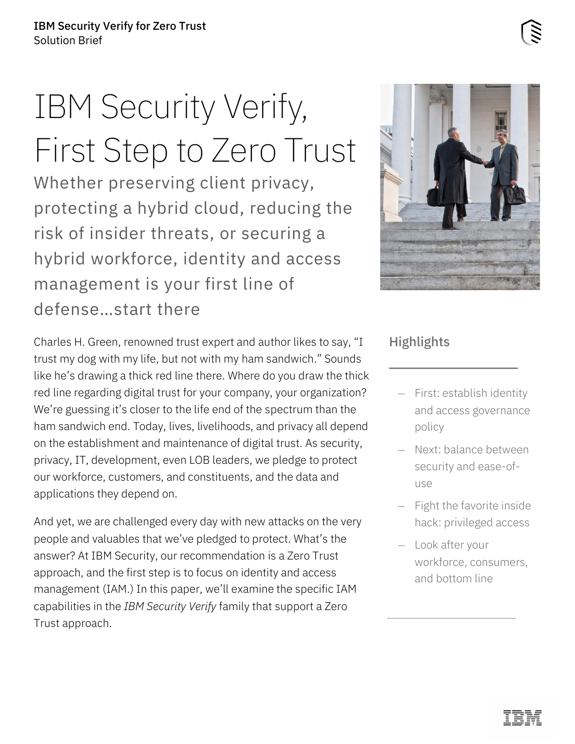# IBM Security Verify, First Step to Zero Trust

Whether preserving client privacy, protecting a hybrid cloud, reducing the risk of insider threats, or securing a hybrid workforce, identity and access management is your first line of defense…start there

Charles H. Green, renowned trust expert and author likes to say, "I trust my dog with my life, but not with my ham sandwich." Sounds like he's drawing a thick red line there. Where do you draw the thick red line regarding digital trust for your company, your organization? We're guessing it's closer to the life end of the spectrum than the ham sandwich end. Today, lives, livelihoods, and privacy all depend on the establishment and maintenance of digital trust. As security, privacy, IT, development, even LOB leaders, we pledge to protect our workforce, customers, and constituents, and the data and applications they depend on.

And yet, we are challenged every day with new attacks on the very people and valuables that we've pledged to protect. What's the answer? At IBM Security, our recommendation is a Zero Trust approach, and the first step is to focus on identity and access management (IAM.) In this paper, we'll examine the specific IAM capabilities in the *IBM Security Verify* family that support a Zero Trust approach.



#### **Highlights**

- First: establish identity and access governance policy
- Next: balance between security and ease-ofuse
- Fight the favorite inside hack: privileged access
- Look after your workforce, consumers, and bottom line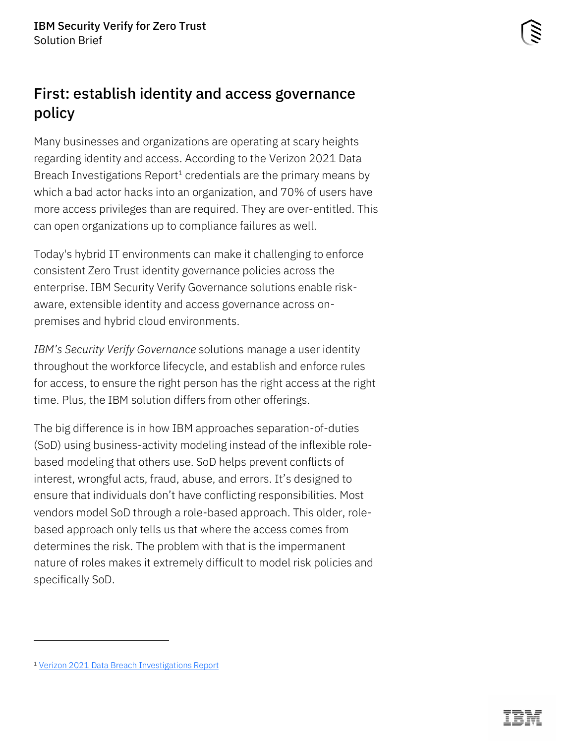## First: establish identity and access governance policy

Many businesses and organizations are operating at scary heights regarding identity and access. According to the Verizon 2021 Data Breach Investigations Report<sup>1</sup> credentials are the primary means by which a bad actor hacks into an organization, and 70% of users have more access privileges than are required. They are over-entitled. This can open organizations up to compliance failures as well.

Today's hybrid IT environments can make it challenging to enforce consistent Zero Trust identity governance policies across the enterprise. IBM Security Verify Governance solutions enable riskaware, extensible identity and access governance across onpremises and hybrid cloud environments.

*IBM's Security Verify Governance* solutions manage a user identity throughout the workforce lifecycle, and establish and enforce rules for access, to ensure the right person has the right access at the right time. Plus, the IBM solution differs from other offerings.

The big difference is in how IBM approaches separation-of-duties (SoD) using business-activity modeling instead of the inflexible rolebased modeling that others use. SoD helps prevent conflicts of interest, wrongful acts, fraud, abuse, and errors. It's designed to ensure that individuals don't have conflicting responsibilities. Most vendors model SoD through a role-based approach. This older, rolebased approach only tells us that where the access comes from determines the risk. The problem with that is the impermanent nature of roles makes it extremely difficult to model risk policies and specifically SoD.

<sup>1</sup> [Verizon 2021 Data Breach Investigations Report](https://enterprise.verizon.com/resources/reports/2021-data-breach-investigations-report.pdf?_ga=2.184248614.1663383224.1626190817-1184619446.1626190817&_gac=1.238692660.1626190817.EAIaIQobChMIrLLV6rDg8QIVfW1vBB1kGAlLEAAYASAAEgLxAfD_BwE)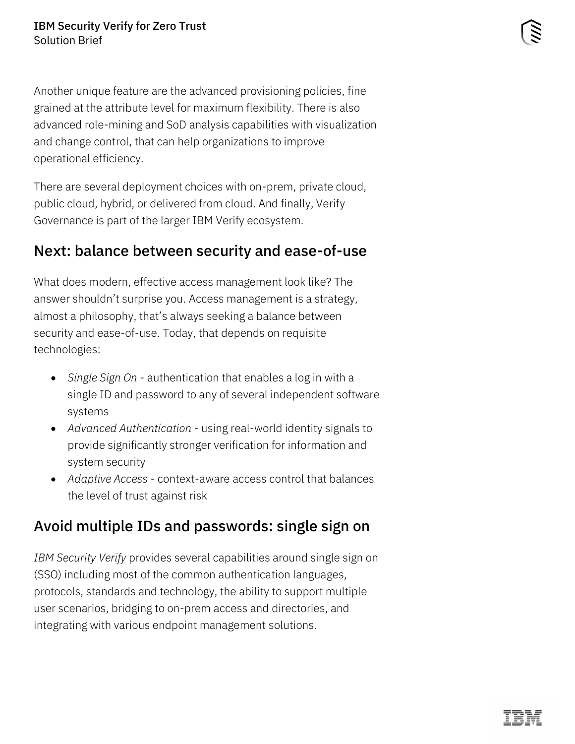Another unique feature are the advanced provisioning policies, fine grained at the attribute level for maximum flexibility. There is also advanced role-mining and SoD analysis capabilities with visualization and change control, that can help organizations to improve operational efficiency.

There are several deployment choices with on-prem, private cloud, public cloud, hybrid, or delivered from cloud. And finally, Verify Governance is part of the larger IBM Verify ecosystem.

#### Next: balance between security and ease-of-use

What does modern, effective access management look like? The answer shouldn't surprise you. Access management is a strategy, almost a philosophy, that's always seeking a balance between security and ease-of-use. Today, that depends on requisite technologies:

- *Single Sign On*  authentication that enables a log in with a single ID and password to any of several independent software systems
- *Advanced Authentication* using real-world identity signals to provide significantly stronger verification for information and system security
- *Adaptive Access* context-aware access control that balances the level of trust against risk

### Avoid multiple IDs and passwords: single sign on

*IBM Security Verify* provides several capabilities around single sign on (SSO) including most of the common authentication languages, protocols, standards and technology, the ability to support multiple user scenarios, bridging to on-prem access and directories, and integrating with various endpoint management solutions.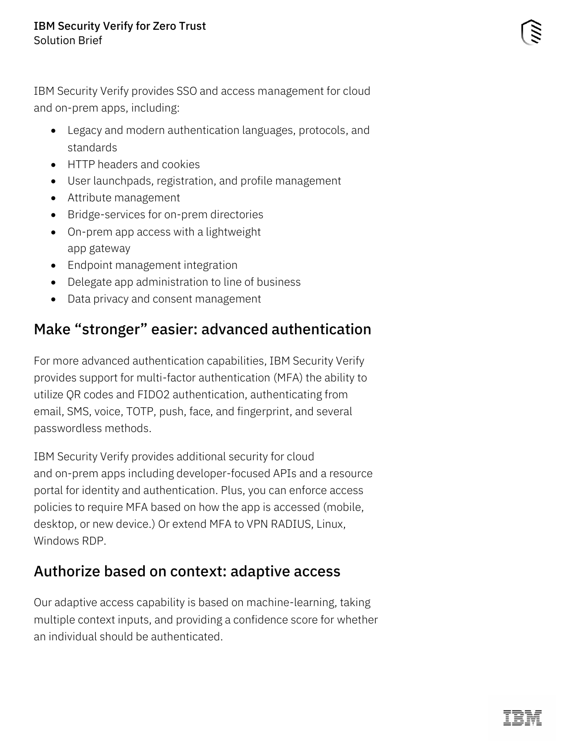IBM Security Verify provides SSO and access management for cloud and on-prem apps, including:

- Legacy and modern authentication languages, protocols, and standards
- HTTP headers and cookies
- User launchpads, registration, and profile management
- Attribute management
- Bridge-services for on-prem directories
- On-prem app access with a lightweight app gateway
- Endpoint management integration
- Delegate app administration to line of business
- Data privacy and consent management

## Make "stronger" easier: advanced authentication

For more advanced authentication capabilities, IBM Security Verify provides support for multi-factor authentication (MFA) the ability to utilize QR codes and FIDO2 authentication, authenticating from email, SMS, voice, TOTP, push, face, and fingerprint, and several passwordless methods.

IBM Security Verify provides additional security for cloud and on-prem apps including developer-focused APIs and a resource portal for identity and authentication. Plus, you can enforce access policies to require MFA based on how the app is accessed (mobile, desktop, or new device.) Or extend MFA to VPN RADIUS, Linux, Windows RDP.

### Authorize based on context: adaptive access

Our adaptive access capability is based on machine-learning, taking multiple context inputs, and providing a confidence score for whether an individual should be authenticated.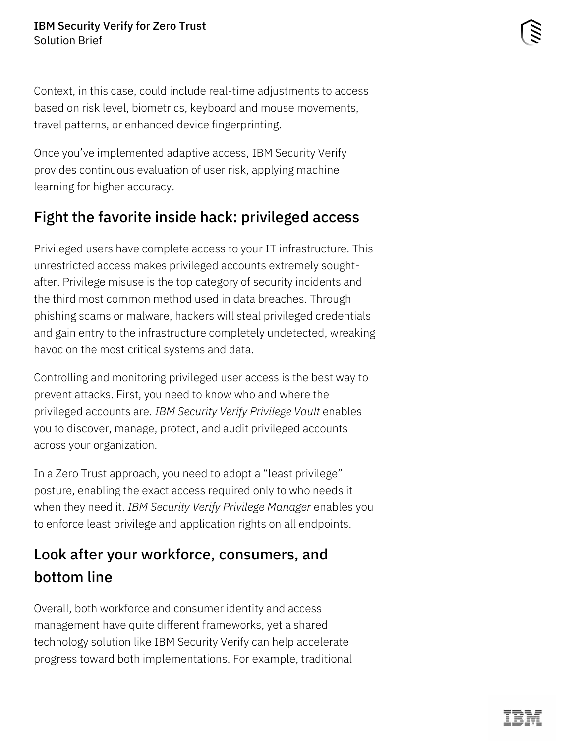Context, in this case, could include real-time adjustments to access based on risk level, biometrics, keyboard and mouse movements, travel patterns, or enhanced device fingerprinting.

Once you've implemented adaptive access, IBM Security Verify provides continuous evaluation of user risk, applying machine learning for higher accuracy.

# Fight the favorite inside hack: privileged access

Privileged users have complete access to your IT infrastructure. This unrestricted access makes privileged accounts extremely soughtafter. Privilege misuse is the top category of security incidents and the third most common method used in data breaches. Through phishing scams or malware, hackers will steal privileged credentials and gain entry to the infrastructure completely undetected, wreaking havoc on the most critical systems and data.

Controlling and monitoring privileged user access is the best way to prevent attacks. First, you need to know who and where the privileged accounts are. *IBM Security Verify Privilege Vault* enables you to discover, manage, protect, and audit privileged accounts across your organization.

In a Zero Trust approach, you need to adopt a "least privilege" posture, enabling the exact access required only to who needs it when they need it. *IBM Security Verify Privilege Manager* enables you to enforce least privilege and application rights on all endpoints.

# Look after your workforce, consumers, and bottom line

Overall, both workforce and consumer identity and access management have quite different frameworks, yet a shared technology solution like IBM Security Verify can help accelerate progress toward both implementations. For example, traditional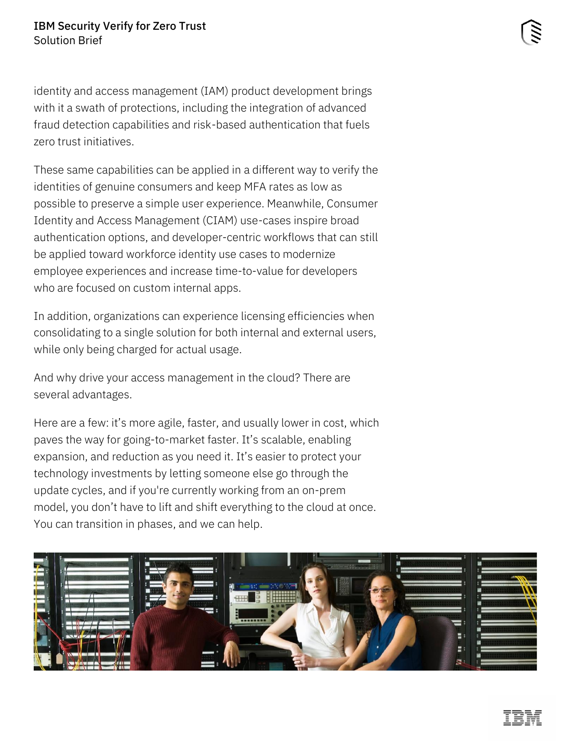identity and access management (IAM) product development brings with it a swath of protections, including the integration of advanced fraud detection capabilities and risk-based authentication that fuels zero trust initiatives.

These same capabilities can be applied in a different way to verify the identities of genuine consumers and keep MFA rates as low as possible to preserve a simple user experience. Meanwhile, Consumer Identity and Access Management (CIAM) use-cases inspire broad authentication options, and developer-centric workflows that can still be applied toward workforce identity use cases to modernize employee experiences and increase time-to-value for developers who are focused on custom internal apps.

In addition, organizations can experience licensing efficiencies when consolidating to a single solution for both internal and external users, while only being charged for actual usage.

And why drive your access management in the cloud? There are several advantages.

Here are a few: it's more agile, faster, and usually lower in cost, which paves the way for going-to-market faster. It's scalable, enabling expansion, and reduction as you need it. It's easier to protect your technology investments by letting someone else go through the update cycles, and if you're currently working from an on-prem model, you don't have to lift and shift everything to the cloud at once. You can transition in phases, and we can help.